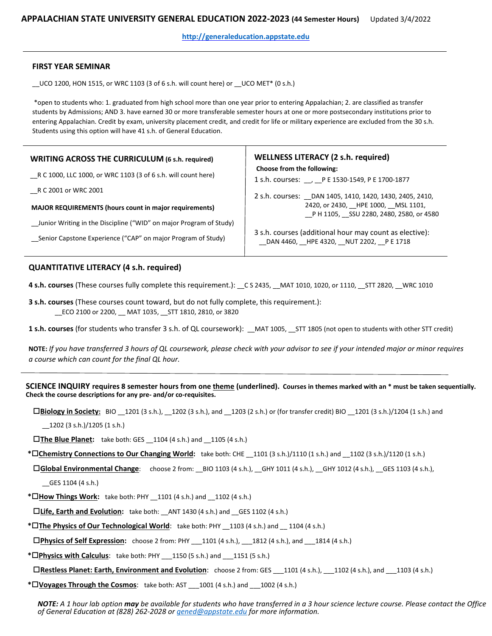**[http://generaleducation.appstate.edu](http://generaleducation.appstate.edu/)**

## **FIRST YEAR SEMINAR**

 $\_$ UCO 1200, HON 1515, or WRC 1103 (3 of 6 s.h. will count here) or  $\_$ UCO MET\* (0 s.h.)

\*open to students who: 1. graduated from high school more than one year prior to entering Appalachian; 2. are classified as transfer students by Admissions; AND 3. have earned 30 or more transferable semester hours at one or more postsecondary institutions prior to entering Appalachian. Credit by exam, university placement credit, and credit for life or military experience are excluded from the 30 s.h. Students using this option will have 41 s.h. of General Education.

| <b>WRITING ACROSS THE CURRICULUM (6 s.h. required)</b><br>R C 1000, LLC 1000, or WRC 1103 (3 of 6 s.h. will count here)<br>R C 2001 or WRC 2001<br><b>MAJOR REQUIREMENTS (hours count in major requirements)</b> | <b>WELLNESS LITERACY (2 s.h. required)</b><br>Choose from the following:<br>1 s.h. courses: __, __P E 1530-1549, P E 1700-1877<br>2 s.h. courses: DAN 1405, 1410, 1420, 1430, 2405, 2410,<br>2420, or 2430, HPE 1000, MSL 1101,<br>P H 1105, SSU 2280, 2480, 2580, or 4580 |
|------------------------------------------------------------------------------------------------------------------------------------------------------------------------------------------------------------------|----------------------------------------------------------------------------------------------------------------------------------------------------------------------------------------------------------------------------------------------------------------------------|
| Junior Writing in the Discipline ("WID" on major Program of Study)                                                                                                                                               | 3 s.h. courses (additional hour may count as elective):                                                                                                                                                                                                                    |
| Senior Capstone Experience ("CAP" on major Program of Study)                                                                                                                                                     | DAN 4460, HPE 4320, NUT 2202, PE 1718                                                                                                                                                                                                                                      |

## **QUANTITATIVE LITERACY (4 s.h. required)**

**4 s.h. courses** (These courses fully complete this requirement.): \_\_C S 2435, \_\_MAT 1010, 1020, or 1110, \_\_STT 2820, \_\_WRC 1010

**3 s.h. courses** (These courses count toward, but do not fully complete, this requirement.): \_\_ECO 2100 or 2200, \_\_ MAT 1035, \_\_STT 1810, 2810, or 3820

**1 s.h. courses** (for students who transfer 3 s.h. of QL coursework): \_\_MAT 1005, \_\_STT 1805 (not open to students with other STT credit)

**NOTE:** *If you have transferred 3 hours of QL coursework, please check with your advisor to see if your intended major or minor requires a course which can count for the final QL hour.*

## **SCIENCE INQUIRY requires 8 semester hours from one theme (underlined). Courses in themes marked with an \* must be taken sequentially. Check the course descriptions for any pre- and/or co-requisites.**

**Biology in Society:** BIO \_\_1201 (3 s.h.), \_\_1202 (3 s.h.), and \_\_1203 (2 s.h.) or (for transfer credit) BIO \_\_1201 (3 s.h.)/1204 (1 s.h.) and

\_\_1202 (3 s.h.)/1205 (1 s.h.)

**The Blue Planet:** take both: GES \_\_1104 (4 s.h.) and \_\_1105 (4 s.h.)

**\*Chemistry Connections to Our Changing World:** take both: CHE \_\_1101 (3 s.h.)/1110 (1 s.h.) and \_\_1102 (3 s.h.)/1120 (1 s.h.)

**Global Environmental Change**: choose 2 from: \_\_BIO 1103 (4 s.h.), \_\_GHY 1011 (4 s.h.), \_\_GHY 1012 (4 s.h.), \_\_GES 1103 (4 s.h.),

\_\_GES 1104 (4 s.h.)

**\*How Things Work:** take both: PHY \_\_1101 (4 s.h.) and \_\_1102 (4 s.h.)

□Life, Earth and Evolution: take both: ANT 1430 (4 s.h.) and GES 1102 (4 s.h.)

**\*The Physics of Our Technological World**: take both: PHY \_\_1103 (4 s.h.) and \_\_ 1104 (4 s.h.)

**Physics of Self Expression:** choose 2 from: PHY \_\_\_1101 (4 s.h.), \_\_\_1812 (4 s.h.), and \_\_\_1814 (4 s.h.)

**\*Physics with Calculus**: take both: PHY \_\_\_1150 (5 s.h.) and \_\_\_1151 (5 s.h.)

**Restless Planet: Earth, Environment and Evolution**: choose 2 from: GES \_\_\_1101 (4 s.h.), \_\_\_1102 (4 s.h.), and \_\_\_1103 (4 s.h.)

**\*Voyages Through the Cosmos**: take both: AST \_\_\_1001 (4 s.h.) and \_\_\_1002 (4 s.h.)

*NOTE: A 1 hour lab option may be available for students who have transferred in a 3 hour science lecture course. Please contact the Office of General Education at (828) 262-2028 or [gened@appstate.edu](mailto:gened@appstate.edu) for more information.*